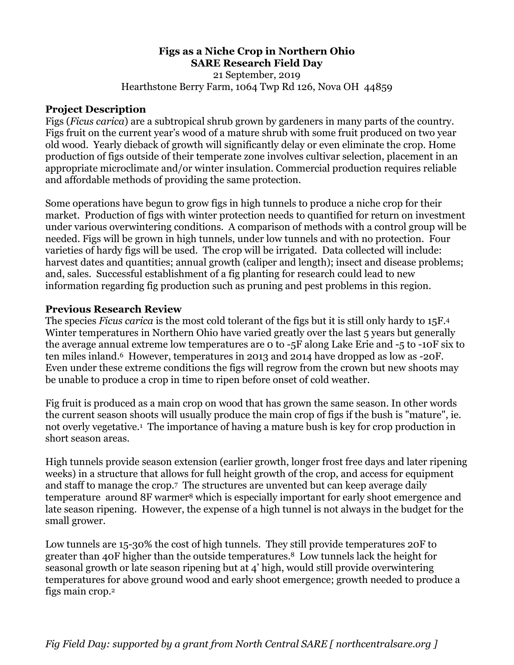## **Figs as a Niche Crop in Northern Ohio SARE Research Field Day**  21 September, 2019 Hearthstone Berry Farm, 1064 Twp Rd 126, Nova OH 44859

## **Project Description**

Figs (*Ficus carica*) are a subtropical shrub grown by gardeners in many parts of the country. Figs fruit on the current year's wood of a mature shrub with some fruit produced on two year old wood. Yearly dieback of growth will significantly delay or even eliminate the crop. Home production of figs outside of their temperate zone involves cultivar selection, placement in an appropriate microclimate and/or winter insulation. Commercial production requires reliable and affordable methods of providing the same protection.

Some operations have begun to grow figs in high tunnels to produce a niche crop for their market. Production of figs with winter protection needs to quantified for return on investment under various overwintering conditions. A comparison of methods with a control group will be needed. Figs will be grown in high tunnels, under low tunnels and with no protection. Four varieties of hardy figs will be used. The crop will be irrigated. Data collected will include: harvest dates and quantities; annual growth (caliper and length); insect and disease problems; and, sales. Successful establishment of a fig planting for research could lead to new information regarding fig production such as pruning and pest problems in this region.

## **Previous Research Review**

The species *Ficus carica* is the most cold tolerant of the figs but it is still only hardy to 15F.4 Winter temperatures in Northern Ohio have varied greatly over the last 5 years but generally the average annual extreme low temperatures are 0 to -5F along Lake Erie and -5 to -10F six to ten miles inland.6 However, temperatures in 2013 and 2014 have dropped as low as -20F. Even under these extreme conditions the figs will regrow from the crown but new shoots may be unable to produce a crop in time to ripen before onset of cold weather.

Fig fruit is produced as a main crop on wood that has grown the same season. In other words the current season shoots will usually produce the main crop of figs if the bush is "mature", ie. not overly vegetative.1 The importance of having a mature bush is key for crop production in short season areas.

High tunnels provide season extension (earlier growth, longer frost free days and later ripening weeks) in a structure that allows for full height growth of the crop, and access for equipment and staff to manage the crop.7 The structures are unvented but can keep average daily temperature around 8F warmer8 which is especially important for early shoot emergence and late season ripening. However, the expense of a high tunnel is not always in the budget for the small grower.

Low tunnels are 15-30% the cost of high tunnels. They still provide temperatures 20F to greater than 40F higher than the outside temperatures.8 Low tunnels lack the height for seasonal growth or late season ripening but at 4' high, would still provide overwintering temperatures for above ground wood and early shoot emergence; growth needed to produce a figs main crop.2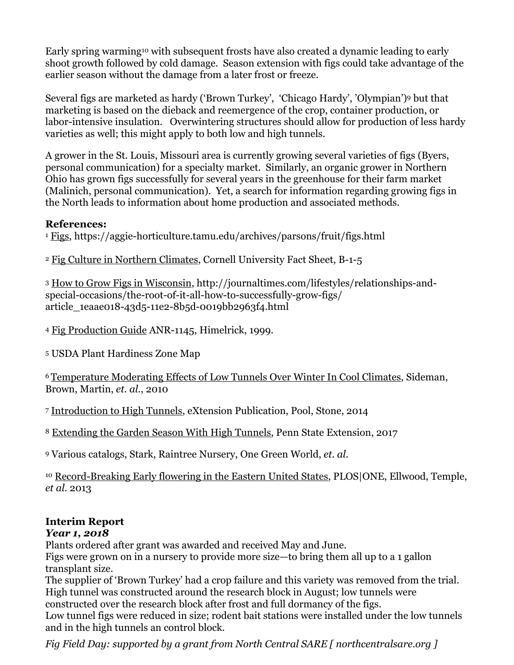Early spring warming<sup>10</sup> with subsequent frosts have also created a dynamic leading to early shoot growth followed by cold damage. Season extension with figs could take advantage of the earlier season without the damage from a later frost or freeze.

Several figs are marketed as hardy ('Brown Turkey', 'Chicago Hardy', 'Olympian')9 but that marketing is based on the dieback and reemergence of the crop, container production, or labor-intensive insulation. Overwintering structures should allow for production of less hardy varieties as well; this might apply to both low and high tunnels.

A grower in the St. Louis, Missouri area is currently growing several varieties of figs (Byers, personal communication) for a specialty market. Similarly, an organic grower in Northern Ohio has grown figs successfully for several years in the greenhouse for their farm market (Malinich, personal communication). Yet, a search for information regarding growing figs in the North leads to information about home production and associated methods.

## **References:**

<sup>1</sup> Figs, https://aggie-horticulture.tamu.edu/archives/parsons/fruit/figs.html

<sup>2</sup> Fig Culture in Northern Climates, Cornell University Fact Sheet, B-1-5

<sup>3</sup> How to Grow Figs in Wisconsin, http://journaltimes.com/lifestyles/relationships-andspecial-occasions/the-root-of-it-all-how-to-successfully-grow-figs/ article\_1eaae018-43d5-11e2-8b5d-0019bb2963f4.html

<sup>4</sup> Fig Production Guide ANR-1145, Himelrick, 1999.

5 USDA Plant Hardiness Zone Map

6 Temperature Moderating Effects of Low Tunnels Over Winter In Cool Climates, Sideman, Brown, Martin, *et. al.*, 2010

<sup>7</sup> Introduction to High Tunnels, eXtension Publication, Pool, Stone, 2014

<sup>8</sup> Extending the Garden Season With High Tunnels, Penn State Extension, 2017

9 Various catalogs, Stark, Raintree Nursery, One Green World, *et. al.* 

<sup>10</sup> Record-Breaking Early flowering in the Eastern United States, PLOS|ONE, Ellwood, Temple, *et al.* 2013

# **Interim Report**

# *Year 1, 2018*

Plants ordered after grant was awarded and received May and June.

Figs were grown on in a nursery to provide more size—to bring them all up to a 1 gallon transplant size.

The supplier of 'Brown Turkey' had a crop failure and this variety was removed from the trial. High tunnel was constructed around the research block in August; low tunnels were constructed over the research block after frost and full dormancy of the figs.

Low tunnel figs were reduced in size; rodent bait stations were installed under the low tunnels and in the high tunnels an control block.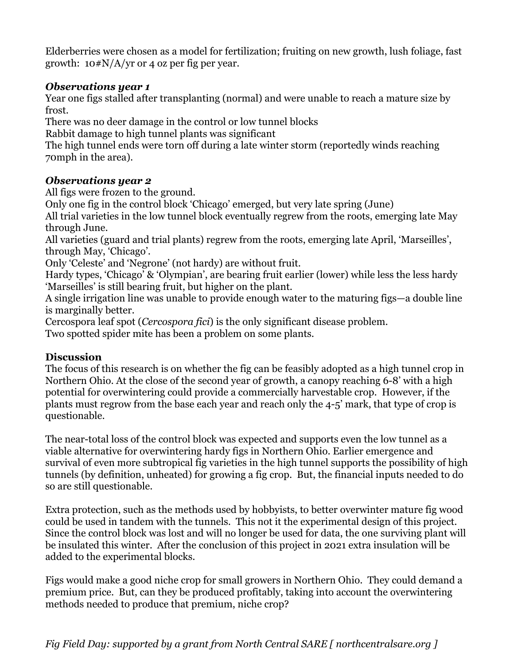Elderberries were chosen as a model for fertilization; fruiting on new growth, lush foliage, fast growth:  $10 \frac{\text{H}}{\text{N}}$ /A/yr or 4 oz per fig per year.

# *Observations year 1*

Year one figs stalled after transplanting (normal) and were unable to reach a mature size by frost.

There was no deer damage in the control or low tunnel blocks

Rabbit damage to high tunnel plants was significant

The high tunnel ends were torn off during a late winter storm (reportedly winds reaching 70mph in the area).

# *Observations year 2*

All figs were frozen to the ground.

Only one fig in the control block 'Chicago' emerged, but very late spring (June)

All trial varieties in the low tunnel block eventually regrew from the roots, emerging late May through June.

All varieties (guard and trial plants) regrew from the roots, emerging late April, 'Marseilles', through May, 'Chicago'.

Only 'Celeste' and 'Negrone' (not hardy) are without fruit.

Hardy types, 'Chicago' & 'Olympian', are bearing fruit earlier (lower) while less the less hardy 'Marseilles' is still bearing fruit, but higher on the plant.

A single irrigation line was unable to provide enough water to the maturing figs—a double line is marginally better.

Cercospora leaf spot (*Cercospora fici*) is the only significant disease problem.

Two spotted spider mite has been a problem on some plants.

# **Discussion**

The focus of this research is on whether the fig can be feasibly adopted as a high tunnel crop in Northern Ohio. At the close of the second year of growth, a canopy reaching 6-8' with a high potential for overwintering could provide a commercially harvestable crop. However, if the plants must regrow from the base each year and reach only the 4-5' mark, that type of crop is questionable.

The near-total loss of the control block was expected and supports even the low tunnel as a viable alternative for overwintering hardy figs in Northern Ohio. Earlier emergence and survival of even more subtropical fig varieties in the high tunnel supports the possibility of high tunnels (by definition, unheated) for growing a fig crop. But, the financial inputs needed to do so are still questionable.

Extra protection, such as the methods used by hobbyists, to better overwinter mature fig wood could be used in tandem with the tunnels. This not it the experimental design of this project. Since the control block was lost and will no longer be used for data, the one surviving plant will be insulated this winter. After the conclusion of this project in 2021 extra insulation will be added to the experimental blocks.

Figs would make a good niche crop for small growers in Northern Ohio. They could demand a premium price. But, can they be produced profitably, taking into account the overwintering methods needed to produce that premium, niche crop?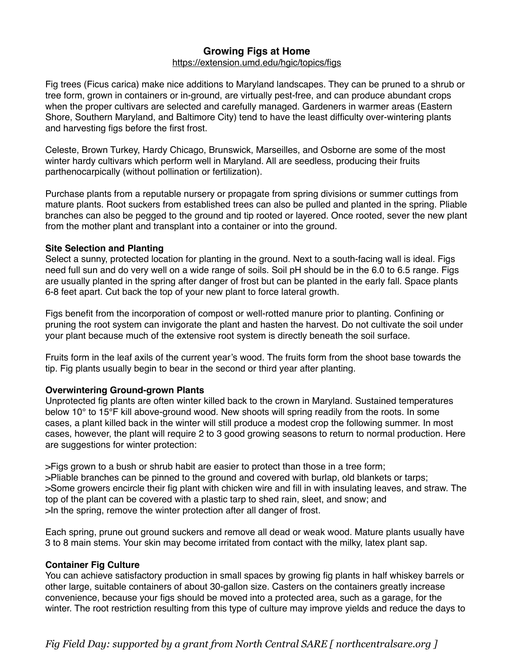## **Growing Figs at Home**

#### <https://extension.umd.edu/hgic/topics/figs>

Fig trees (Ficus carica) make nice additions to Maryland landscapes. They can be pruned to a shrub or tree form, grown in containers or in-ground, are virtually pest-free, and can produce abundant crops when the proper cultivars are selected and carefully managed. Gardeners in warmer areas (Eastern Shore, Southern Maryland, and Baltimore City) tend to have the least difficulty over-wintering plants and harvesting figs before the first frost.

Celeste, Brown Turkey, Hardy Chicago, Brunswick, Marseilles, and Osborne are some of the most winter hardy cultivars which perform well in Maryland. All are seedless, producing their fruits parthenocarpically (without pollination or fertilization).

Purchase plants from a reputable nursery or propagate from spring divisions or summer cuttings from mature plants. Root suckers from established trees can also be pulled and planted in the spring. Pliable branches can also be pegged to the ground and tip rooted or layered. Once rooted, sever the new plant from the mother plant and transplant into a container or into the ground.

#### **Site Selection and Planting**

Select a sunny, protected location for planting in the ground. Next to a south-facing wall is ideal. Figs need full sun and do very well on a wide range of soils. Soil pH should be in the 6.0 to 6.5 range. Figs are usually planted in the spring after danger of frost but can be planted in the early fall. Space plants 6-8 feet apart. Cut back the top of your new plant to force lateral growth.

Figs benefit from the incorporation of compost or well-rotted manure prior to planting. Confining or pruning the root system can invigorate the plant and hasten the harvest. Do not cultivate the soil under your plant because much of the extensive root system is directly beneath the soil surface.

Fruits form in the leaf axils of the current year's wood. The fruits form from the shoot base towards the tip. Fig plants usually begin to bear in the second or third year after planting.

#### **Overwintering Ground-grown Plants**

Unprotected fig plants are often winter killed back to the crown in Maryland. Sustained temperatures below 10° to 15°F kill above-ground wood. New shoots will spring readily from the roots. In some cases, a plant killed back in the winter will still produce a modest crop the following summer. In most cases, however, the plant will require 2 to 3 good growing seasons to return to normal production. Here are suggestions for winter protection:

>Figs grown to a bush or shrub habit are easier to protect than those in a tree form; >Pliable branches can be pinned to the ground and covered with burlap, old blankets or tarps; >Some growers encircle their fig plant with chicken wire and fill in with insulating leaves, and straw. The top of the plant can be covered with a plastic tarp to shed rain, sleet, and snow; and >In the spring, remove the winter protection after all danger of frost.

Each spring, prune out ground suckers and remove all dead or weak wood. Mature plants usually have 3 to 8 main stems. Your skin may become irritated from contact with the milky, latex plant sap.

#### **Container Fig Culture**

You can achieve satisfactory production in small spaces by growing fig plants in half whiskey barrels or other large, suitable containers of about 30-gallon size. Casters on the containers greatly increase convenience, because your figs should be moved into a protected area, such as a garage, for the winter. The root restriction resulting from this type of culture may improve yields and reduce the days to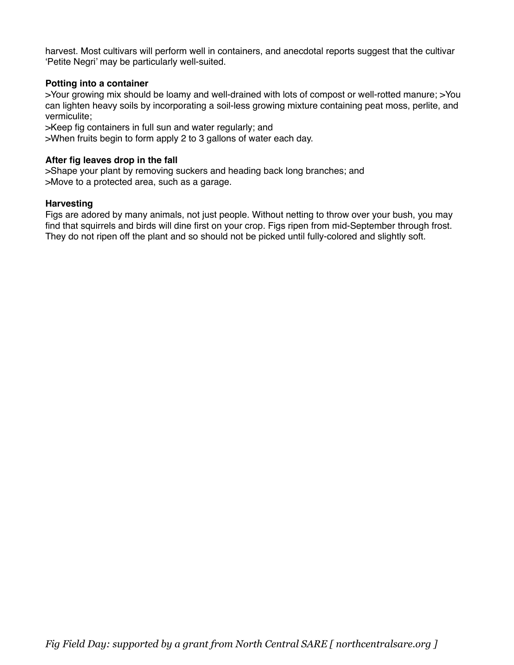harvest. Most cultivars will perform well in containers, and anecdotal reports suggest that the cultivar 'Petite Negri' may be particularly well-suited.

## **Potting into a container**

>Your growing mix should be loamy and well-drained with lots of compost or well-rotted manure; >You can lighten heavy soils by incorporating a soil-less growing mixture containing peat moss, perlite, and vermiculite;

>Keep fig containers in full sun and water regularly; and

>When fruits begin to form apply 2 to 3 gallons of water each day.

## **After fig leaves drop in the fall**

>Shape your plant by removing suckers and heading back long branches; and >Move to a protected area, such as a garage.

#### **Harvesting**

Figs are adored by many animals, not just people. Without netting to throw over your bush, you may find that squirrels and birds will dine first on your crop. Figs ripen from mid-September through frost. They do not ripen off the plant and so should not be picked until fully-colored and slightly soft.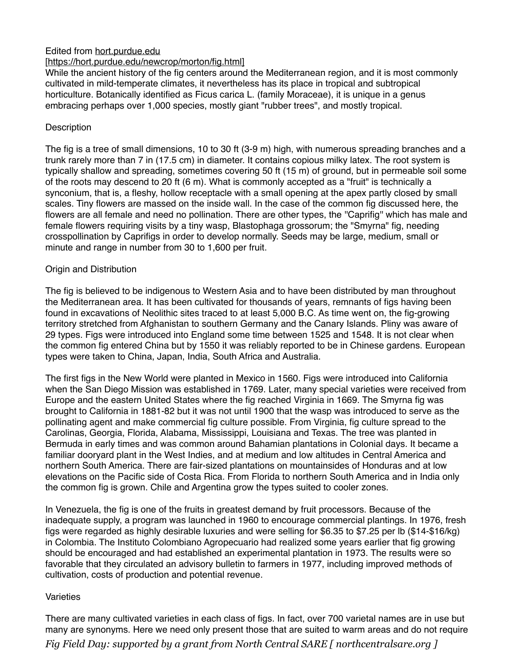## Edited from [hort.purdue.edu](http://hort.purdue.edu)

## [\[https://hort.purdue.edu/newcrop/morton/fig.html\]](https://hort.purdue.edu/newcrop/morton/fig.html%5D)

While the ancient history of the fig centers around the Mediterranean region, and it is most commonly cultivated in mild-temperate climates, it nevertheless has its place in tropical and subtropical horticulture. Botanically identified as Ficus carica L. (family Moraceae), it is unique in a genus embracing perhaps over 1,000 species, mostly giant "rubber trees", and mostly tropical.

## **Description**

The fig is a tree of small dimensions, 10 to 30 ft (3-9 m) high, with numerous spreading branches and a trunk rarely more than 7 in (17.5 cm) in diameter. It contains copious milky latex. The root system is typically shallow and spreading, sometimes covering 50 ft (15 m) of ground, but in permeable soil some of the roots may descend to 20 ft (6 m). What is commonly accepted as a "fruit" is technically a synconium, that is, a fleshy, hollow receptacle with a small opening at the apex partly closed by small scales. Tiny flowers are massed on the inside wall. In the case of the common fig discussed here, the flowers are all female and need no pollination. There are other types, the ''Caprifig'' which has male and female flowers requiring visits by a tiny wasp, Blastophaga grossorum; the "Smyrna" fig, needing crosspollination by Caprifigs in order to develop normally. Seeds may be large, medium, small or minute and range in number from 30 to 1,600 per fruit.

#### Origin and Distribution

The fig is believed to be indigenous to Western Asia and to have been distributed by man throughout the Mediterranean area. It has been cultivated for thousands of years, remnants of figs having been found in excavations of Neolithic sites traced to at least 5,000 B.C. As time went on, the fig-growing territory stretched from Afghanistan to southern Germany and the Canary Islands. Pliny was aware of 29 types. Figs were introduced into England some time between 1525 and 1548. It is not clear when the common fig entered China but by 1550 it was reliably reported to be in Chinese gardens. European types were taken to China, Japan, India, South Africa and Australia.

The first figs in the New World were planted in Mexico in 1560. Figs were introduced into California when the San Diego Mission was established in 1769. Later, many special varieties were received from Europe and the eastern United States where the fig reached Virginia in 1669. The Smyrna fig was brought to California in 1881-82 but it was not until 1900 that the wasp was introduced to serve as the pollinating agent and make commercial fig culture possible. From Virginia, fig culture spread to the Carolinas, Georgia, Florida, Alabama, Mississippi, Louisiana and Texas. The tree was planted in Bermuda in early times and was common around Bahamian plantations in Colonial days. It became a familiar dooryard plant in the West Indies, and at medium and low altitudes in Central America and northern South America. There are fair-sized plantations on mountainsides of Honduras and at low elevations on the Pacific side of Costa Rica. From Florida to northern South America and in India only the common fig is grown. Chile and Argentina grow the types suited to cooler zones.

In Venezuela, the fig is one of the fruits in greatest demand by fruit processors. Because of the inadequate supply, a program was launched in 1960 to encourage commercial plantings. In 1976, fresh figs were regarded as highly desirable luxuries and were selling for \$6.35 to \$7.25 per lb (\$14-\$16/kg) in Colombia. The Instituto Colombiano Agropecuario had realized some years earlier that fig growing should be encouraged and had established an experimental plantation in 1973. The results were so favorable that they circulated an advisory bulletin to farmers in 1977, including improved methods of cultivation, costs of production and potential revenue.

#### **Varieties**

There are many cultivated varieties in each class of figs. In fact, over 700 varietal names are in use but many are synonyms. Here we need only present those that are suited to warm areas and do not require *Fig Field Day: supported by a grant from North Central SARE [ northcentralsare.org ]*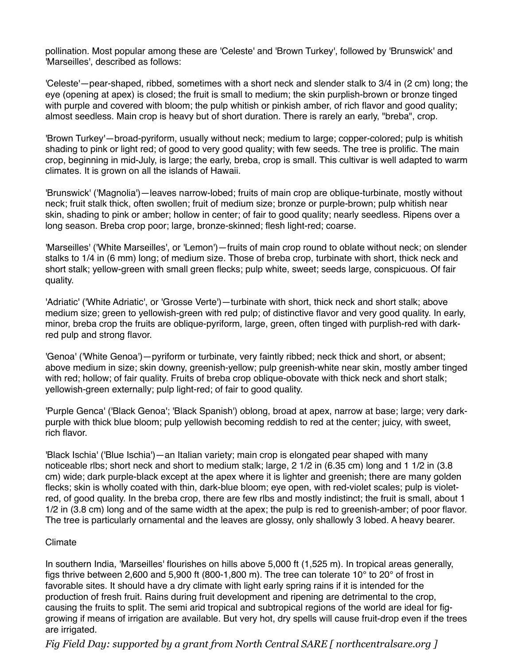pollination. Most popular among these are 'Celeste' and 'Brown Turkey', followed by 'Brunswick' and 'Marseilles', described as follows:

'Celeste'—pear-shaped, ribbed, sometimes with a short neck and slender stalk to 3/4 in (2 cm) long; the eye (opening at apex) is closed; the fruit is small to medium; the skin purplish-brown or bronze tinged with purple and covered with bloom; the pulp whitish or pinkish amber, of rich flavor and good quality; almost seedless. Main crop is heavy but of short duration. There is rarely an early, "breba", crop.

'Brown Turkey'—broad-pyriform, usually without neck; medium to large; copper-colored; pulp is whitish shading to pink or light red; of good to very good quality; with few seeds. The tree is prolific. The main crop, beginning in mid-July, is large; the early, breba, crop is small. This cultivar is well adapted to warm climates. It is grown on all the islands of Hawaii.

'Brunswick' ('Magnolia')—leaves narrow-lobed; fruits of main crop are oblique-turbinate, mostly without neck; fruit stalk thick, often swollen; fruit of medium size; bronze or purple-brown; pulp whitish near skin, shading to pink or amber; hollow in center; of fair to good quality; nearly seedless. Ripens over a long season. Breba crop poor; large, bronze-skinned; flesh light-red; coarse.

'Marseilles' ('White Marseilles', or 'Lemon')—fruits of main crop round to oblate without neck; on slender stalks to 1/4 in (6 mm) long; of medium size. Those of breba crop, turbinate with short, thick neck and short stalk; yellow-green with small green flecks; pulp white, sweet; seeds large, conspicuous. Of fair quality.

'Adriatic' ('White Adriatic', or 'Grosse Verte')—turbinate with short, thick neck and short stalk; above medium size; green to yellowish-green with red pulp; of distinctive flavor and very good quality. In early, minor, breba crop the fruits are oblique-pyriform, large, green, often tinged with purplish-red with darkred pulp and strong flavor.

'Genoa' ('White Genoa')—pyriform or turbinate, very faintly ribbed; neck thick and short, or absent; above medium in size; skin downy, greenish-yellow; pulp greenish-white near skin, mostly amber tinged with red; hollow; of fair quality. Fruits of breba crop oblique-obovate with thick neck and short stalk; yellowish-green externally; pulp light-red; of fair to good quality.

'Purple Genca' ('Black Genoa'; 'Black Spanish') oblong, broad at apex, narrow at base; large; very darkpurple with thick blue bloom; pulp yellowish becoming reddish to red at the center; juicy, with sweet, rich flavor.

'Black Ischia' ('Blue Ischia')—an Italian variety; main crop is elongated pear shaped with many noticeable rlbs; short neck and short to medium stalk; large, 2 1/2 in (6.35 cm) long and 1 1/2 in (3.8 cm) wide; dark purple-black except at the apex where it is lighter and greenish; there are many golden flecks; skin is wholly coated with thin, dark-blue bloom; eye open, with red-violet scales; pulp is violetred, of good quality. In the breba crop, there are few rlbs and mostly indistinct; the fruit is small, about 1 1/2 in (3.8 cm) long and of the same width at the apex; the pulp is red to greenish-amber; of poor flavor. The tree is particularly ornamental and the leaves are glossy, only shallowly 3 lobed. A heavy bearer.

#### Climate

In southern India, 'Marseilles' flourishes on hills above 5,000 ft (1,525 m). In tropical areas generally, figs thrive between 2,600 and 5,900 ft (800-1,800 m). The tree can tolerate 10° to 20° of frost in favorable sites. It should have a dry climate with light early spring rains if it is intended for the production of fresh fruit. Rains during fruit development and ripening are detrimental to the crop, causing the fruits to split. The semi arid tropical and subtropical regions of the world are ideal for figgrowing if means of irrigation are available. But very hot, dry spells will cause fruit-drop even if the trees are irrigated.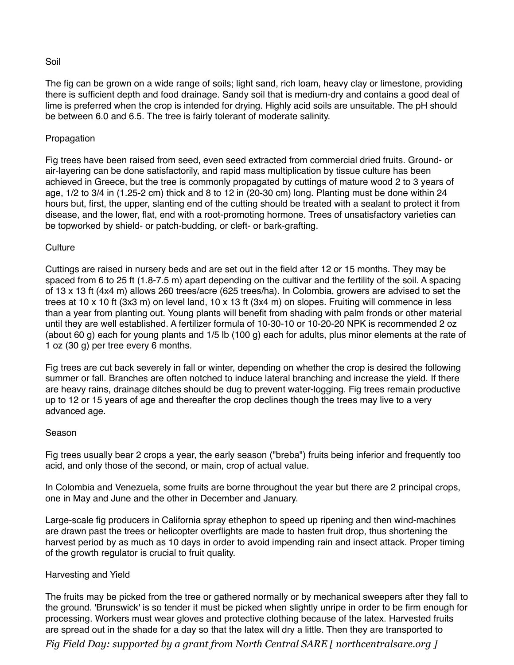#### Soil

The fig can be grown on a wide range of soils; light sand, rich loam, heavy clay or limestone, providing there is sufficient depth and food drainage. Sandy soil that is medium-dry and contains a good deal of lime is preferred when the crop is intended for drying. Highly acid soils are unsuitable. The pH should be between 6.0 and 6.5. The tree is fairly tolerant of moderate salinity.

## Propagation

Fig trees have been raised from seed, even seed extracted from commercial dried fruits. Ground- or air-layering can be done satisfactorily, and rapid mass multiplication by tissue culture has been achieved in Greece, but the tree is commonly propagated by cuttings of mature wood 2 to 3 years of age, 1/2 to 3/4 in (1.25-2 cm) thick and 8 to 12 in (20-30 cm) long. Planting must be done within 24 hours but, first, the upper, slanting end of the cutting should be treated with a sealant to protect it from disease, and the lower, flat, end with a root-promoting hormone. Trees of unsatisfactory varieties can be topworked by shield- or patch-budding, or cleft- or bark-grafting.

#### **Culture**

Cuttings are raised in nursery beds and are set out in the field after 12 or 15 months. They may be spaced from 6 to 25 ft (1.8-7.5 m) apart depending on the cultivar and the fertility of the soil. A spacing of 13 x 13 ft (4x4 m) allows 260 trees/acre (625 trees/ha). In Colombia, growers are advised to set the trees at 10 x 10 ft (3x3 m) on level land, 10 x 13 ft (3x4 m) on slopes. Fruiting will commence in less than a year from planting out. Young plants will benefit from shading with palm fronds or other material until they are well established. A fertilizer formula of 10-30-10 or 10-20-20 NPK is recommended 2 oz (about 60 g) each for young plants and 1/5 lb (100 g) each for adults, plus minor elements at the rate of 1 oz (30 g) per tree every 6 months.

Fig trees are cut back severely in fall or winter, depending on whether the crop is desired the following summer or fall. Branches are often notched to induce lateral branching and increase the yield. If there are heavy rains, drainage ditches should be dug to prevent water-logging. Fig trees remain productive up to 12 or 15 years of age and thereafter the crop declines though the trees may live to a very advanced age.

#### Season

Fig trees usually bear 2 crops a year, the early season ("breba") fruits being inferior and frequently too acid, and only those of the second, or main, crop of actual value.

In Colombia and Venezuela, some fruits are borne throughout the year but there are 2 principal crops, one in May and June and the other in December and January.

Large-scale fig producers in California spray ethephon to speed up ripening and then wind-machines are drawn past the trees or helicopter overflights are made to hasten fruit drop, thus shortening the harvest period by as much as 10 days in order to avoid impending rain and insect attack. Proper timing of the growth regulator is crucial to fruit quality.

#### Harvesting and Yield

The fruits may be picked from the tree or gathered normally or by mechanical sweepers after they fall to the ground. 'Brunswick' is so tender it must be picked when slightly unripe in order to be firm enough for processing. Workers must wear gloves and protective clothing because of the latex. Harvested fruits are spread out in the shade for a day so that the latex will dry a little. Then they are transported to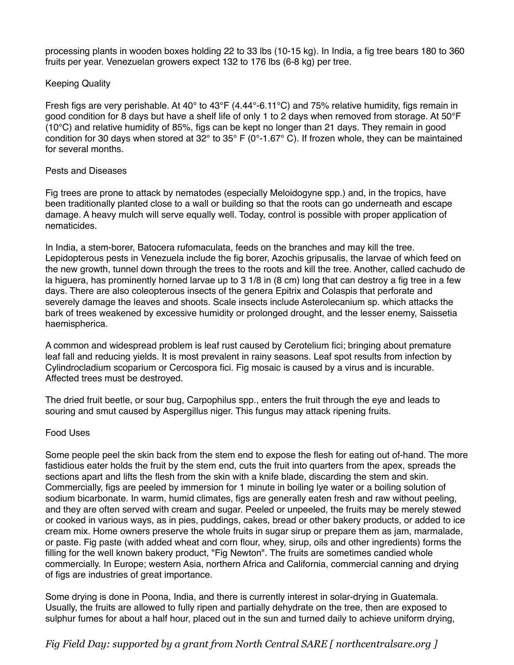processing plants in wooden boxes holding 22 to 33 lbs (10-15 kg). In India, a fig tree bears 180 to 360 fruits per year. Venezuelan growers expect 132 to 176 lbs (6-8 kg) per tree.

#### Keeping Quality

Fresh figs are very perishable. At 40° to 43°F (4.44°-6.11°C) and 75% relative humidity, figs remain in good condition for 8 days but have a shelf life of only 1 to 2 days when removed from storage. At 50°F (10°C) and relative humidity of 85%, figs can be kept no longer than 21 days. They remain in good condition for 30 days when stored at 32° to 35° F (0°-1.67° C). If frozen whole, they can be maintained for several months.

#### Pests and Diseases

Fig trees are prone to attack by nematodes (especially Meloidogyne spp.) and, in the tropics, have been traditionally planted close to a wall or building so that the roots can go underneath and escape damage. A heavy mulch will serve equally well. Today, control is possible with proper application of nematicides.

In India, a stem-borer, Batocera rufomaculata, feeds on the branches and may kill the tree. Lepidopterous pests in Venezuela include the fig borer, Azochis gripusalis, the larvae of which feed on the new growth, tunnel down through the trees to the roots and kill the tree. Another, called cachudo de la higuera, has prominently horned larvae up to 3 1/8 in (8 cm) long that can destroy a fig tree in a few days. There are also coleopterous insects of the genera Epitrix and Colaspis that perforate and severely damage the leaves and shoots. Scale insects include Asterolecanium sp. which attacks the bark of trees weakened by excessive humidity or prolonged drought, and the lesser enemy, Saissetia haemispherica.

A common and widespread problem is leaf rust caused by Cerotelium fici; bringing about premature leaf fall and reducing yields. It is most prevalent in rainy seasons. Leaf spot results from infection by Cylindrocladium scoparium or Cercospora fici. Fig mosaic is caused by a virus and is incurable. Affected trees must be destroyed.

The dried fruit beetle, or sour bug, Carpophilus spp., enters the fruit through the eye and leads to souring and smut caused by Aspergillus niger. This fungus may attack ripening fruits.

#### Food Uses

Some people peel the skin back from the stem end to expose the flesh for eating out of-hand. The more fastidious eater holds the fruit by the stem end, cuts the fruit into quarters from the apex, spreads the sections apart and lifts the flesh from the skin with a knife blade, discarding the stem and skin. Commercially, figs are peeled by immersion for 1 minute in boiling lye water or a boiling solution of sodium bicarbonate. In warm, humid climates, figs are generally eaten fresh and raw without peeling, and they are often served with cream and sugar. Peeled or unpeeled, the fruits may be merely stewed or cooked in various ways, as in pies, puddings, cakes, bread or other bakery products, or added to ice cream mix. Home owners preserve the whole fruits in sugar sirup or prepare them as jam, marmalade, or paste. Fig paste (with added wheat and corn flour, whey, sirup, oils and other ingredients) forms the filling for the well known bakery product, "Fig Newton". The fruits are sometimes candied whole commercially. In Europe; western Asia, northern Africa and California, commercial canning and drying of figs are industries of great importance.

Some drying is done in Poona, India, and there is currently interest in solar-drying in Guatemala. Usually, the fruits are allowed to fully ripen and partially dehydrate on the tree, then are exposed to sulphur fumes for about a half hour, placed out in the sun and turned daily to achieve uniform drying,